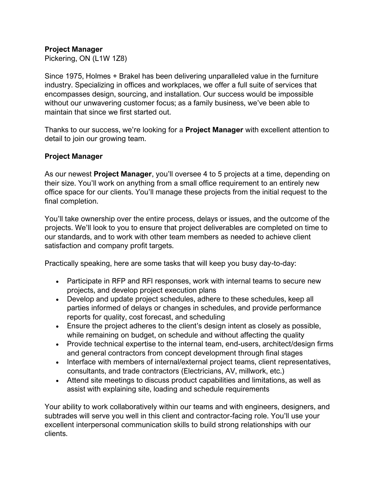## **Project Manager**

Pickering, ON (L1W 1Z8)

Since 1975, Holmes + Brakel has been delivering unparalleled value in the furniture industry. Specializing in offices and workplaces, we offer a full suite of services that encompasses design, sourcing, and installation. Our success would be impossible without our unwavering customer focus; as a family business, we've been able to maintain that since we first started out.

Thanks to our success, we're looking for a **Project Manager** with excellent attention to detail to join our growing team.

## **Project Manager**

As our newest **Project Manager**, you'll oversee 4 to 5 projects at a time, depending on their size. You'll work on anything from a small office requirement to an entirely new office space for our clients. You'll manage these projects from the initial request to the final completion.

You'll take ownership over the entire process, delays or issues, and the outcome of the projects. We'll look to you to ensure that project deliverables are completed on time to our standards, and to work with other team members as needed to achieve client satisfaction and company profit targets.

Practically speaking, here are some tasks that will keep you busy day-to-day:

- Participate in RFP and RFI responses, work with internal teams to secure new projects, and develop project execution plans
- Develop and update project schedules, adhere to these schedules, keep all parties informed of delays or changes in schedules, and provide performance reports for quality, cost forecast, and scheduling
- Ensure the project adheres to the client's design intent as closely as possible, while remaining on budget, on schedule and without affecting the quality
- Provide technical expertise to the internal team, end-users, architect/design firms and general contractors from concept development through final stages
- Interface with members of internal/external project teams, client representatives, consultants, and trade contractors (Electricians, AV, millwork, etc.)
- Attend site meetings to discuss product capabilities and limitations, as well as assist with explaining site, loading and schedule requirements

Your ability to work collaboratively within our teams and with engineers, designers, and subtrades will serve you well in this client and contractor-facing role. You'll use your excellent interpersonal communication skills to build strong relationships with our clients.